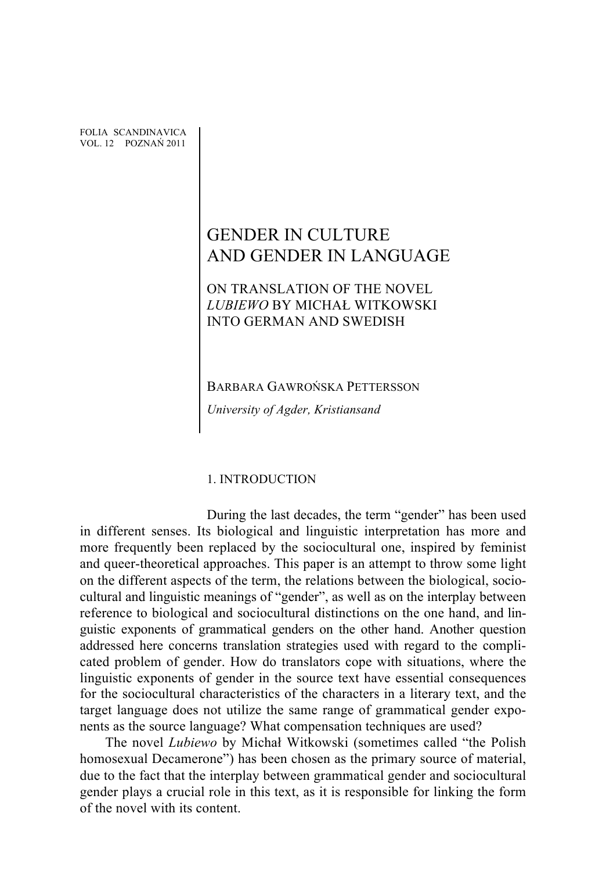FOLIA SCANDINAVICA VOL. 12 POZNAŃ 2011

# GENDER IN CULTURE AND GENDER IN LANGUAGE

# ON TRANSLATION OF THE NOVEL *LUBIEWO* BY MICHAŁ WITKOWSKI INTO GERMAN AND SWEDISH

BARBARA GAWROŃSKA PETTERSSON

*University of Agder, Kristiansand*

## 1. INTRODUCTION

During the last decades, the term "gender" has been used in different senses. Its biological and linguistic interpretation has more and more frequently been replaced by the sociocultural one, inspired by feminist and queer-theoretical approaches. This paper is an attempt to throw some light on the different aspects of the term, the relations between the biological, sociocultural and linguistic meanings of "gender", as well as on the interplay between reference to biological and sociocultural distinctions on the one hand, and linguistic exponents of grammatical genders on the other hand. Another question addressed here concerns translation strategies used with regard to the complicated problem of gender. How do translators cope with situations, where the linguistic exponents of gender in the source text have essential consequences for the sociocultural characteristics of the characters in a literary text, and the target language does not utilize the same range of grammatical gender exponents as the source language? What compensation techniques are used?

The novel *Lubiewo* by Michał Witkowski (sometimes called "the Polish homosexual Decamerone") has been chosen as the primary source of material, due to the fact that the interplay between grammatical gender and sociocultural gender plays a crucial role in this text, as it is responsible for linking the form of the novel with its content.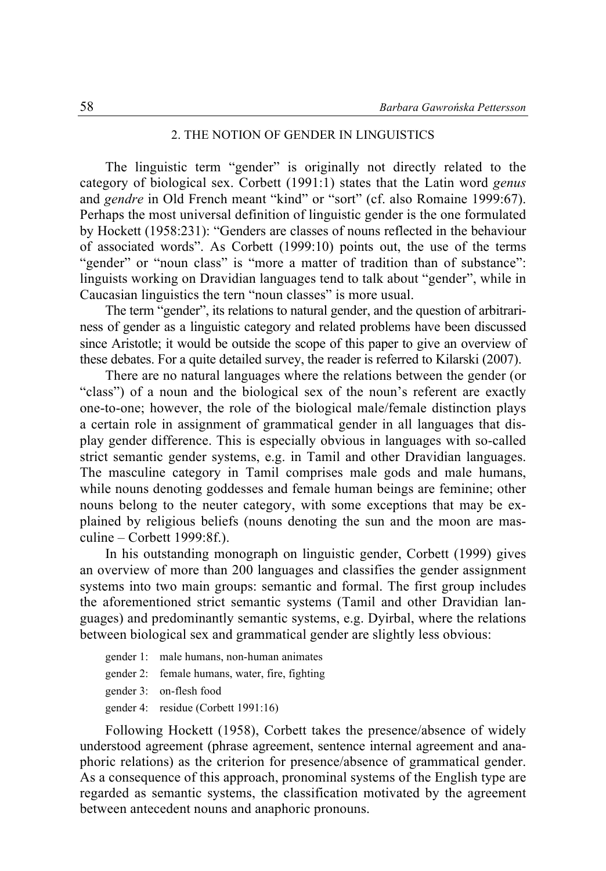## 2. THE NOTION OF GENDER IN LINGUISTICS

The linguistic term "gender" is originally not directly related to the category of biological sex. Corbett (1991:1) states that the Latin word *genus* and *gendre* in Old French meant "kind" or "sort" (cf. also Romaine 1999:67). Perhaps the most universal definition of linguistic gender is the one formulated by Hockett (1958:231): "Genders are classes of nouns reflected in the behaviour of associated words". As Corbett (1999:10) points out, the use of the terms "gender" or "noun class" is "more a matter of tradition than of substance": linguists working on Dravidian languages tend to talk about "gender", while in Caucasian linguistics the tern "noun classes" is more usual.

The term "gender", its relations to natural gender, and the question of arbitrariness of gender as a linguistic category and related problems have been discussed since Aristotle; it would be outside the scope of this paper to give an overview of these debates. For a quite detailed survey, the reader is referred to Kilarski (2007).

There are no natural languages where the relations between the gender (or "class") of a noun and the biological sex of the noun's referent are exactly one-to-one; however, the role of the biological male/female distinction plays a certain role in assignment of grammatical gender in all languages that display gender difference. This is especially obvious in languages with so-called strict semantic gender systems, e.g. in Tamil and other Dravidian languages. The masculine category in Tamil comprises male gods and male humans, while nouns denoting goddesses and female human beings are feminine; other nouns belong to the neuter category, with some exceptions that may be explained by religious beliefs (nouns denoting the sun and the moon are masculine – Corbett 1999:8f.).

In his outstanding monograph on linguistic gender, Corbett (1999) gives an overview of more than 200 languages and classifies the gender assignment systems into two main groups: semantic and formal. The first group includes the aforementioned strict semantic systems (Tamil and other Dravidian languages) and predominantly semantic systems, e.g. Dyirbal, where the relations between biological sex and grammatical gender are slightly less obvious:

- gender 1: male humans, non-human animates
- gender 2: female humans, water, fire, fighting
- gender 3: on-flesh food
- gender 4: residue (Corbett 1991:16)

Following Hockett (1958), Corbett takes the presence/absence of widely understood agreement (phrase agreement, sentence internal agreement and anaphoric relations) as the criterion for presence/absence of grammatical gender. As a consequence of this approach, pronominal systems of the English type are regarded as semantic systems, the classification motivated by the agreement between antecedent nouns and anaphoric pronouns.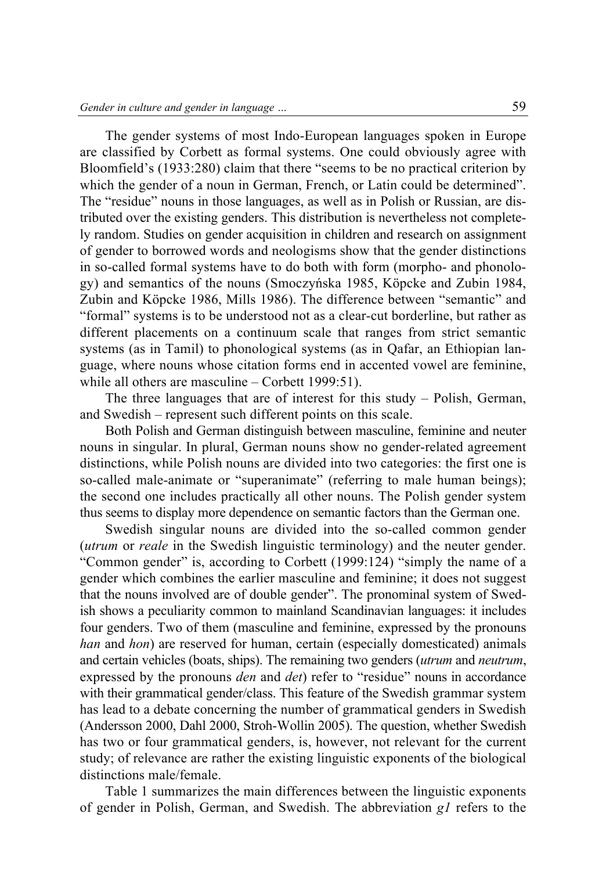The gender systems of most Indo-European languages spoken in Europe are classified by Corbett as formal systems. One could obviously agree with Bloomfield's (1933:280) claim that there "seems to be no practical criterion by which the gender of a noun in German, French, or Latin could be determined". The "residue" nouns in those languages, as well as in Polish or Russian, are distributed over the existing genders. This distribution is nevertheless not completely random. Studies on gender acquisition in children and research on assignment of gender to borrowed words and neologisms show that the gender distinctions in so-called formal systems have to do both with form (morpho- and phonology) and semantics of the nouns (Smoczyńska 1985, Köpcke and Zubin 1984, Zubin and Köpcke 1986, Mills 1986). The difference between "semantic" and "formal" systems is to be understood not as a clear-cut borderline, but rather as different placements on a continuum scale that ranges from strict semantic systems (as in Tamil) to phonological systems (as in Qafar, an Ethiopian language, where nouns whose citation forms end in accented vowel are feminine, while all others are masculine – Corbett 1999:51).

The three languages that are of interest for this study – Polish, German, and Swedish – represent such different points on this scale.

Both Polish and German distinguish between masculine, feminine and neuter nouns in singular. In plural, German nouns show no gender-related agreement distinctions, while Polish nouns are divided into two categories: the first one is so-called male-animate or "superanimate" (referring to male human beings); the second one includes practically all other nouns. The Polish gender system thus seems to display more dependence on semantic factors than the German one.

Swedish singular nouns are divided into the so-called common gender (*utrum* or *reale* in the Swedish linguistic terminology) and the neuter gender. "Common gender" is, according to Corbett (1999:124) "simply the name of a gender which combines the earlier masculine and feminine; it does not suggest that the nouns involved are of double gender". The pronominal system of Swedish shows a peculiarity common to mainland Scandinavian languages: it includes four genders. Two of them (masculine and feminine, expressed by the pronouns *han* and *hon*) are reserved for human, certain (especially domesticated) animals and certain vehicles (boats, ships). The remaining two genders (*utrum* and *neutrum*, expressed by the pronouns *den* and *det*) refer to "residue" nouns in accordance with their grammatical gender/class. This feature of the Swedish grammar system has lead to a debate concerning the number of grammatical genders in Swedish (Andersson 2000, Dahl 2000, Stroh-Wollin 2005). The question, whether Swedish has two or four grammatical genders, is, however, not relevant for the current study; of relevance are rather the existing linguistic exponents of the biological distinctions male/female.

Table 1 summarizes the main differences between the linguistic exponents of gender in Polish, German, and Swedish. The abbreviation *g1* refers to the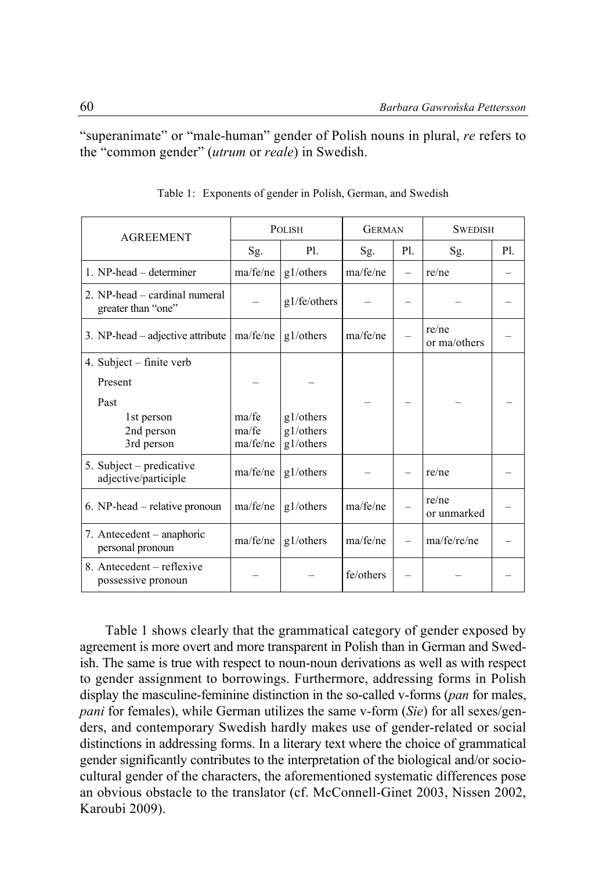"superanimate" or "male-human" gender of Polish nouns in plural, *re* refers to the "common gender" (*utrum* or *reale*) in Swedish.

| <b>AGREEMENT</b>                                    | <b>POLISH</b>     |                        | <b>GERMAN</b> |     | <b>SWEDISH</b>        |     |
|-----------------------------------------------------|-------------------|------------------------|---------------|-----|-----------------------|-----|
|                                                     | Sg.               | P1.                    | Sg.           | P1. | Sg.                   | P1. |
| 1. NP-head – determiner                             | ma/fe/ne          | g1/others              | ma/fe/ne      |     | re/ne                 |     |
| 2. NP-head – cardinal numeral<br>greater than "one" |                   | g1/fe/others           |               |     |                       |     |
| 3. NP-head - adjective attribute                    | ma/fe/ne          | g1/others              | ma/fe/ne      |     | re/ne<br>or ma/others |     |
| 4. Subject – finite verb                            |                   |                        |               |     |                       |     |
| Present                                             |                   |                        |               |     |                       |     |
| Past                                                |                   |                        |               |     |                       |     |
| 1st person                                          | ma/fe             | g1/others              |               |     |                       |     |
| 2nd person<br>3rd person                            | ma/fe<br>ma/fe/ne | g1/others<br>g1/others |               |     |                       |     |
| 5. Subject – predicative<br>adjective/participle    | ma/fe/ne          | g1/others              |               |     | re/ne                 |     |
| 6. NP-head – relative pronoun                       | ma/fe/ne          | g1/others              | ma/fe/ne      |     | re/ne<br>or unmarked  |     |
| 7. Antecedent – anaphoric<br>personal pronoun       | ma/fe/ne          | g1/others              | ma/fe/ne      |     | ma/fe/re/ne           |     |
| 8. Antecedent – reflexive<br>possessive pronoun     |                   |                        | fe/others     |     |                       |     |

Table 1: Exponents of gender in Polish, German, and Swedish

Table 1 shows clearly that the grammatical category of gender exposed by agreement is more overt and more transparent in Polish than in German and Swedish. The same is true with respect to noun-noun derivations as well as with respect to gender assignment to borrowings. Furthermore, addressing forms in Polish display the masculine-feminine distinction in the so-called v-forms (*pan* for males, *pani* for females), while German utilizes the same v-form (*Sie*) for all sexes/genders, and contemporary Swedish hardly makes use of gender-related or social distinctions in addressing forms. In a literary text where the choice of grammatical gender significantly contributes to the interpretation of the biological and/or sociocultural gender of the characters, the aforementioned systematic differences pose an obvious obstacle to the translator (cf. McConnell-Ginet 2003, Nissen 2002, Karoubi 2009).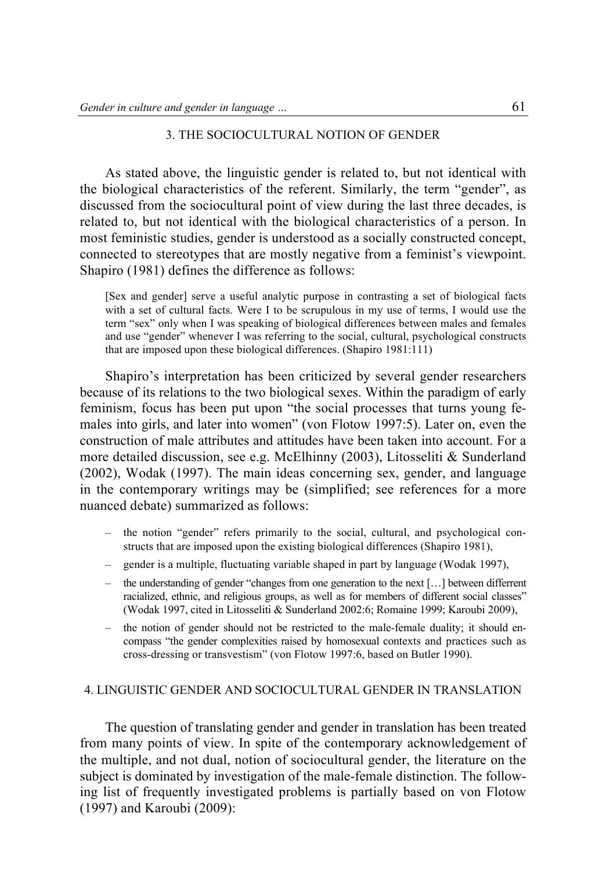#### 3. THE SOCIOCULTURAL NOTION OF GENDER

As stated above, the linguistic gender is related to, but not identical with the biological characteristics of the referent. Similarly, the term "gender", as discussed from the sociocultural point of view during the last three decades, is related to, but not identical with the biological characteristics of a person. In most feministic studies, gender is understood as a socially constructed concept, connected to stereotypes that are mostly negative from a feminist's viewpoint. Shapiro (1981) defines the difference as follows:

[Sex and gender] serve a useful analytic purpose in contrasting a set of biological facts with a set of cultural facts. Were I to be scrupulous in my use of terms, I would use the term "sex" only when I was speaking of biological differences between males and females and use "gender" whenever I was referring to the social, cultural, psychological constructs that are imposed upon these biological differences. (Shapiro 1981:111)

Shapiro's interpretation has been criticized by several gender researchers because of its relations to the two biological sexes. Within the paradigm of early feminism, focus has been put upon "the social processes that turns young females into girls, and later into women" (von Flotow 1997:5). Later on, even the construction of male attributes and attitudes have been taken into account. For a more detailed discussion, see e.g. McElhinny (2003), Litosseliti & Sunderland (2002), Wodak (1997). The main ideas concerning sex, gender, and language in the contemporary writings may be (simplified; see references for a more nuanced debate) summarized as follows:

- the notion "gender" refers primarily to the social, cultural, and psychological constructs that are imposed upon the existing biological differences (Shapiro 1981),
- gender is a multiple, fluctuating variable shaped in part by language (Wodak 1997),
- the understanding of gender "changes from one generation to the next […] between differrent racialized, ethnic, and religious groups, as well as for members of different social classes" (Wodak 1997, cited in Litosseliti & Sunderland 2002:6; Romaine 1999; Karoubi 2009),
- the notion of gender should not be restricted to the male-female duality; it should encompass "the gender complexities raised by homosexual contexts and practices such as cross-dressing or transvestism" (von Flotow 1997:6, based on Butler 1990).

#### 4. LINGUISTIC GENDER AND SOCIOCULTURAL GENDER IN TRANSLATION

The question of translating gender and gender in translation has been treated from many points of view. In spite of the contemporary acknowledgement of the multiple, and not dual, notion of sociocultural gender, the literature on the subject is dominated by investigation of the male-female distinction. The following list of frequently investigated problems is partially based on von Flotow (1997) and Karoubi (2009):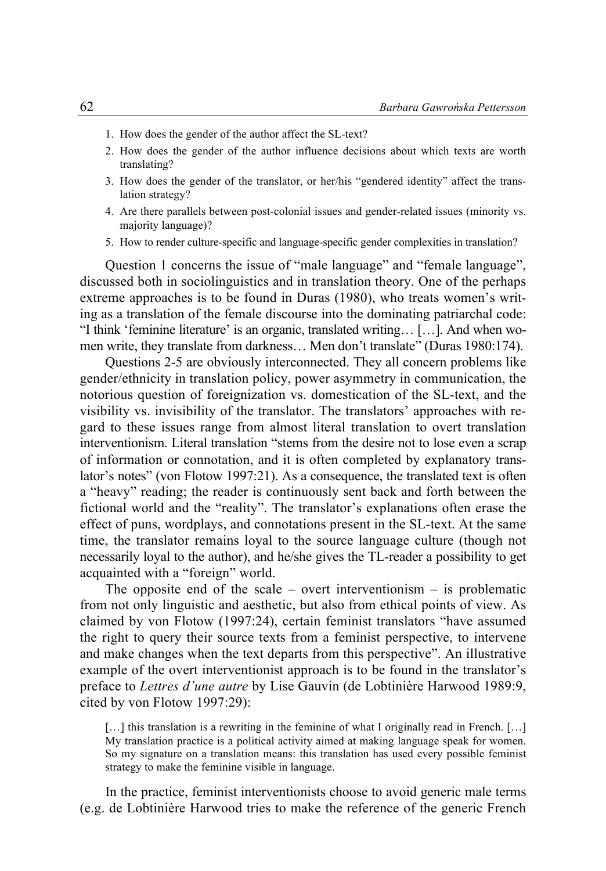- 1. How does the gender of the author affect the SL-text?
- 2. How does the gender of the author influence decisions about which texts are worth translating?
- 3. How does the gender of the translator, or her/his "gendered identity" affect the translation strategy?
- 4. Are there parallels between post-colonial issues and gender-related issues (minority vs. majority language)?
- 5. How to render culture-specific and language-specific gender complexities in translation?

Question 1 concerns the issue of "male language" and "female language", discussed both in sociolinguistics and in translation theory. One of the perhaps extreme approaches is to be found in Duras (1980), who treats women's writing as a translation of the female discourse into the dominating patriarchal code: "I think 'feminine literature' is an organic, translated writing… […]. And when women write, they translate from darkness… Men don't translate" (Duras 1980:174).

Questions 2-5 are obviously interconnected. They all concern problems like gender/ethnicity in translation policy, power asymmetry in communication, the notorious question of foreignization vs. domestication of the SL-text, and the visibility vs. invisibility of the translator. The translators' approaches with regard to these issues range from almost literal translation to overt translation interventionism. Literal translation "stems from the desire not to lose even a scrap of information or connotation, and it is often completed by explanatory translator's notes" (von Flotow 1997:21). As a consequence, the translated text is often a "heavy" reading; the reader is continuously sent back and forth between the fictional world and the "reality". The translator's explanations often erase the effect of puns, wordplays, and connotations present in the SL-text. At the same time, the translator remains loyal to the source language culture (though not necessarily loyal to the author), and he/she gives the TL-reader a possibility to get acquainted with a "foreign" world.

The opposite end of the scale – overt interventionism – is problematic from not only linguistic and aesthetic, but also from ethical points of view. As claimed by von Flotow (1997:24), certain feminist translators "have assumed the right to query their source texts from a feminist perspective, to intervene and make changes when the text departs from this perspective". An illustrative example of the overt interventionist approach is to be found in the translator's preface to *Lettres d'une autre* by Lise Gauvin (de Lobtinière Harwood 1989:9, cited by von Flotow 1997:29):

[...] this translation is a rewriting in the feminine of what I originally read in French. [...] My translation practice is a political activity aimed at making language speak for women. So my signature on a translation means: this translation has used every possible feminist strategy to make the feminine visible in language.

In the practice, feminist interventionists choose to avoid generic male terms (e.g. de Lobtinière Harwood tries to make the reference of the generic French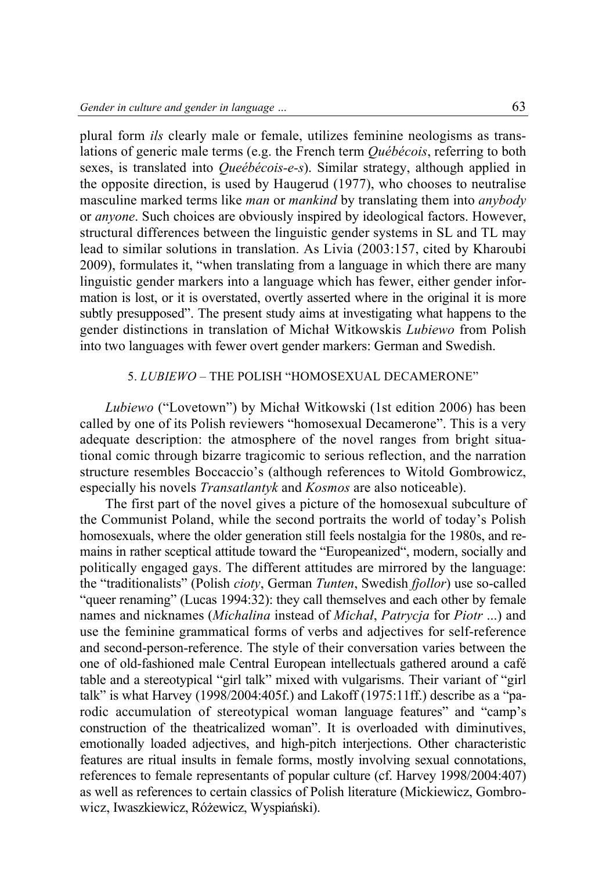plural form *ils* clearly male or female, utilizes feminine neologisms as translations of generic male terms (e.g. the French term *Québécois*, referring to both sexes, is translated into *Queébécois-e-s*). Similar strategy, although applied in the opposite direction, is used by Haugerud (1977), who chooses to neutralise masculine marked terms like *man* or *mankind* by translating them into *anybody* or *anyone*. Such choices are obviously inspired by ideological factors. However, structural differences between the linguistic gender systems in SL and TL may lead to similar solutions in translation. As Livia (2003:157, cited by Kharoubi 2009), formulates it, "when translating from a language in which there are many linguistic gender markers into a language which has fewer, either gender information is lost, or it is overstated, overtly asserted where in the original it is more subtly presupposed". The present study aims at investigating what happens to the gender distinctions in translation of Michał Witkowskis *Lubiewo* from Polish into two languages with fewer overt gender markers: German and Swedish.

## 5. *LUBIEWO* – THE POLISH "HOMOSEXUAL DECAMERONE"

*Lubiewo* ("Lovetown") by Michał Witkowski (1st edition 2006) has been called by one of its Polish reviewers "homosexual Decamerone". This is a very adequate description: the atmosphere of the novel ranges from bright situational comic through bizarre tragicomic to serious reflection, and the narration structure resembles Boccaccio's (although references to Witold Gombrowicz, especially his novels *Transatlantyk* and *Kosmos* are also noticeable).

The first part of the novel gives a picture of the homosexual subculture of the Communist Poland, while the second portraits the world of today's Polish homosexuals, where the older generation still feels nostalgia for the 1980s, and remains in rather sceptical attitude toward the "Europeanized", modern, socially and politically engaged gays. The different attitudes are mirrored by the language: the "traditionalists" (Polish *cioty*, German *Tunten*, Swedish *fjollor*) use so-called "queer renaming" (Lucas 1994:32): they call themselves and each other by female names and nicknames (*Michalina* instead of *Michał*, *Patrycja* for *Piotr* ...) and use the feminine grammatical forms of verbs and adjectives for self-reference and second-person-reference. The style of their conversation varies between the one of old-fashioned male Central European intellectuals gathered around a café table and a stereotypical "girl talk" mixed with vulgarisms. Their variant of "girl talk" is what Harvey (1998/2004:405f.) and Lakoff (1975:11ff.) describe as a "parodic accumulation of stereotypical woman language features" and "camp's construction of the theatricalized woman". It is overloaded with diminutives, emotionally loaded adjectives, and high-pitch interjections. Other characteristic features are ritual insults in female forms, mostly involving sexual connotations, references to female representants of popular culture (cf. Harvey 1998/2004:407) as well as references to certain classics of Polish literature (Mickiewicz, Gombrowicz, Iwaszkiewicz, Różewicz, Wyspiański).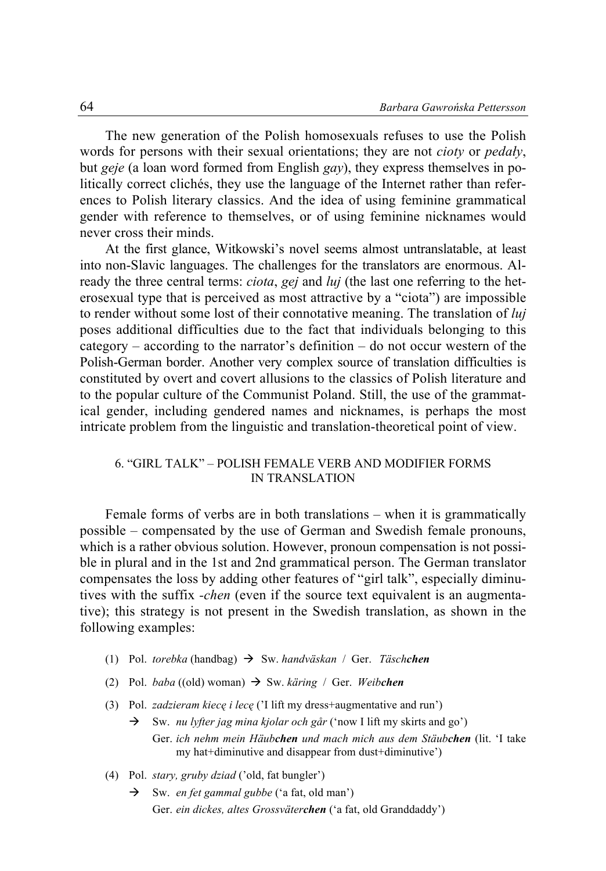The new generation of the Polish homosexuals refuses to use the Polish words for persons with their sexual orientations; they are not *cioty* or *pedały*, but *geje* (a loan word formed from English *gay*), they express themselves in politically correct clichés, they use the language of the Internet rather than references to Polish literary classics. And the idea of using feminine grammatical gender with reference to themselves, or of using feminine nicknames would never cross their minds.

At the first glance, Witkowski's novel seems almost untranslatable, at least into non-Slavic languages. The challenges for the translators are enormous. Already the three central terms: *ciota*, *gej* and *luj* (the last one referring to the heterosexual type that is perceived as most attractive by a "ciota") are impossible to render without some lost of their connotative meaning. The translation of *luj* poses additional difficulties due to the fact that individuals belonging to this category – according to the narrator's definition – do not occur western of the Polish-German border. Another very complex source of translation difficulties is constituted by overt and covert allusions to the classics of Polish literature and to the popular culture of the Communist Poland. Still, the use of the grammatical gender, including gendered names and nicknames, is perhaps the most intricate problem from the linguistic and translation-theoretical point of view.

#### 6. "GIRL TALK" – POLISH FEMALE VERB AND MODIFIER FORMS IN TRANSLATION

Female forms of verbs are in both translations – when it is grammatically possible – compensated by the use of German and Swedish female pronouns, which is a rather obvious solution. However, pronoun compensation is not possible in plural and in the 1st and 2nd grammatical person. The German translator compensates the loss by adding other features of "girl talk", especially diminutives with the suffix *-chen* (even if the source text equivalent is an augmentative); this strategy is not present in the Swedish translation, as shown in the following examples:

- (1) Pol. *torebka* (handbag) Sw. *handväskan* / Ger. *Täschchen*
- (2) Pol. *baba* ((old) woman) Sw. *käring* / Ger. *Weibchen*
- (3) Pol. *zadzieram kiecę i lecę* ('I lift my dress+augmentative and run') Sw. *nu lyfter jag mina kjolar och går* ('now I lift my skirts and go') Ger. *ich nehm mein Häubchen und mach mich aus dem Stäubchen* (lit. 'I take my hat+diminutive and disappear from dust+diminutive')
- (4) Pol. *stary, gruby dziad* ('old, fat bungler')
	- Sw. *en fet gammal gubbe* ('a fat, old man') Ger. *ein dickes, altes Grossväterchen* ('a fat, old Granddaddy')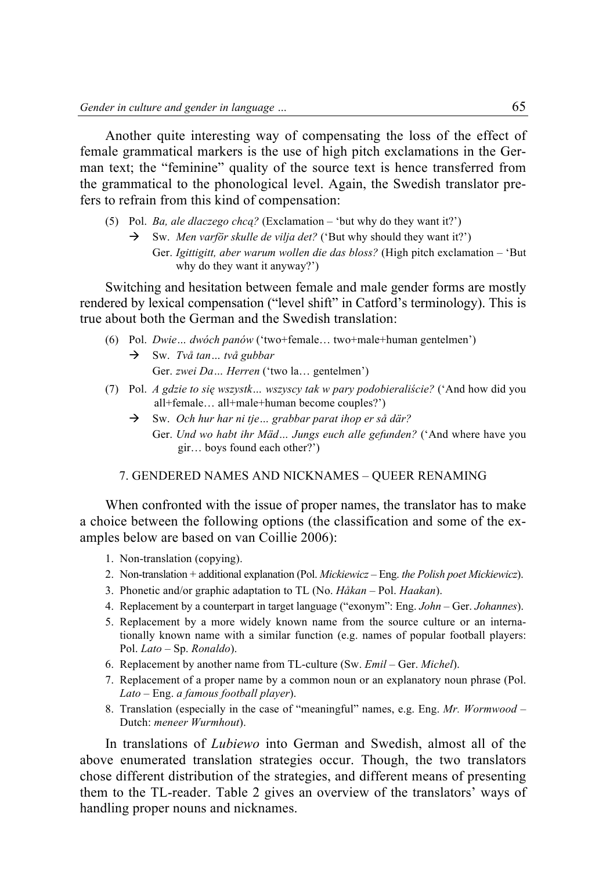Another quite interesting way of compensating the loss of the effect of female grammatical markers is the use of high pitch exclamations in the German text; the "feminine" quality of the source text is hence transferred from the grammatical to the phonological level. Again, the Swedish translator prefers to refrain from this kind of compensation:

- (5) Pol. *Ba, ale dlaczego chcą?* (Exclamation 'but why do they want it?')
	- $\rightarrow$  Sw. *Men varför skulle de vilia det?* ('But why should they want it?')
		- Ger. *Igittigitt, aber warum wollen die das bloss?* (High pitch exclamation 'But why do they want it anyway?')

Switching and hesitation between female and male gender forms are mostly rendered by lexical compensation ("level shift" in Catford's terminology). This is true about both the German and the Swedish translation:

- (6) Pol. *Dwie… dwóch panów* ('two+female… two+male+human gentelmen')
	- Sw. *Två tan… två gubbar* Ger. *zwei Da… Herren* ('two la… gentelmen')
- (7) Pol. *A gdzie to się wszystk… wszyscy tak w pary podobieraliście?* ('And how did you all+female… all+male+human become couples?')
	- Sw. *Och hur har ni tje… grabbar parat ihop er så där?* Ger. *Und wo habt ihr Mäd… Jungs euch alle gefunden?* ('And where have you gir… boys found each other?')

#### 7. GENDERED NAMES AND NICKNAMES – QUEER RENAMING

When confronted with the issue of proper names, the translator has to make a choice between the following options (the classification and some of the examples below are based on van Coillie 2006):

- 1. Non-translation (copying).
- 2. Non-translation + additional explanation (Pol. *Mickiewicz* Eng. *the Polish poet Mickiewicz*).
- 3. Phonetic and/or graphic adaptation to TL (No. *Håkan* Pol. *Haakan*).
- 4. Replacement by a counterpart in target language ("exonym": Eng. *John* Ger. *Johannes*).
- 5. Replacement by a more widely known name from the source culture or an internationally known name with a similar function (e.g. names of popular football players: Pol. *Lato* – Sp. *Ronaldo*).
- 6. Replacement by another name from TL-culture (Sw. *Emil* Ger. *Michel*).
- 7. Replacement of a proper name by a common noun or an explanatory noun phrase (Pol. *Lato* – Eng. *a famous football player*).
- 8. Translation (especially in the case of "meaningful" names, e.g. Eng. *Mr. Wormwood* Dutch: *meneer Wurmhout*).

In translations of *Lubiewo* into German and Swedish, almost all of the above enumerated translation strategies occur. Though, the two translators chose different distribution of the strategies, and different means of presenting them to the TL-reader. Table 2 gives an overview of the translators' ways of handling proper nouns and nicknames.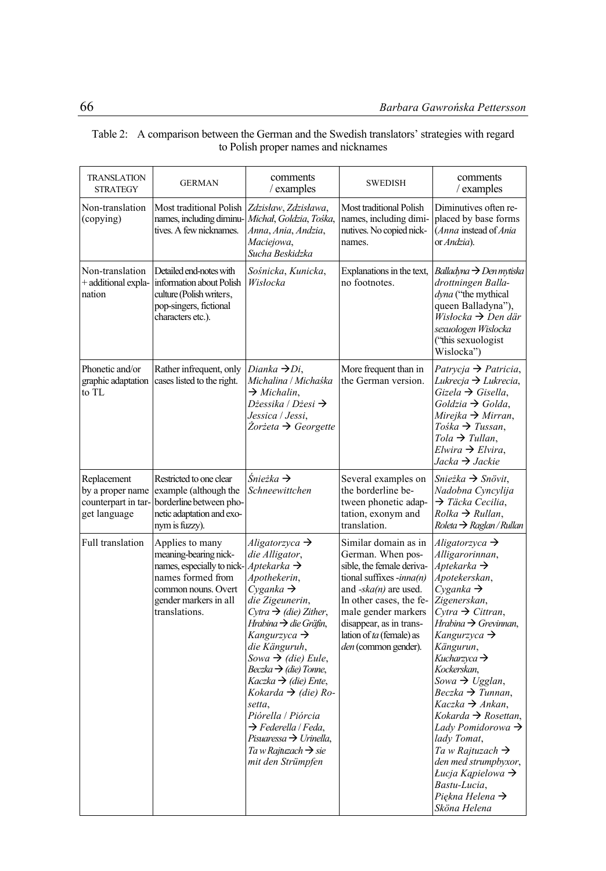| <b>TRANSLATION</b><br><b>STRATEGY</b>                                  | <b>GERMAN</b>                                                                                                                                                                        | comments<br>/ examples                                                                                                                                                                                                                                                                                                                                                                                                                                                                                                                          | <b>SWEDISH</b>                                                                                                                                                                                                                                                           | comments<br>$/$ examples                                                                                                                                                                                                                                                                                                                                                                                                                                                                                                                                                                                                                    |
|------------------------------------------------------------------------|--------------------------------------------------------------------------------------------------------------------------------------------------------------------------------------|-------------------------------------------------------------------------------------------------------------------------------------------------------------------------------------------------------------------------------------------------------------------------------------------------------------------------------------------------------------------------------------------------------------------------------------------------------------------------------------------------------------------------------------------------|--------------------------------------------------------------------------------------------------------------------------------------------------------------------------------------------------------------------------------------------------------------------------|---------------------------------------------------------------------------------------------------------------------------------------------------------------------------------------------------------------------------------------------------------------------------------------------------------------------------------------------------------------------------------------------------------------------------------------------------------------------------------------------------------------------------------------------------------------------------------------------------------------------------------------------|
| Non-translation<br>(copying)                                           | Most traditional Polish<br>names, including diminu-<br>tives. A few nicknames.                                                                                                       | Zdzisław, Zdzisława,<br>Michał, Goldzia, Tośka,<br>Anna, Ania, Andzia,<br>Maciejowa,<br>Sucha Beskidzka                                                                                                                                                                                                                                                                                                                                                                                                                                         | Most traditional Polish<br>names, including dimi-<br>nutives. No copied nick-<br>names.                                                                                                                                                                                  | Diminutives often re-<br>placed by base forms<br>(Anna instead of Ania<br>or Andzia).                                                                                                                                                                                                                                                                                                                                                                                                                                                                                                                                                       |
| Non-translation<br>+ additional expla-<br>nation                       | Detailed end-notes with<br>information about Polish<br>culture (Polish writers,<br>pop-singers, fictional<br>characters etc.).                                                       | Sośnicka, Kunicka,<br>Wisłocka                                                                                                                                                                                                                                                                                                                                                                                                                                                                                                                  | Explanations in the text,<br>no footnotes.                                                                                                                                                                                                                               | Balladyna → Den mytiska<br>drottningen Balla-<br>dyna ("the mythical<br>queen Balladyna"),<br>$Wislocka \rightarrow Den \, \ddot{a}$ r<br>sexuologen Wislocka<br>("this sexuologist")<br>Wislocka")                                                                                                                                                                                                                                                                                                                                                                                                                                         |
| Phonetic and/or<br>graphic adaptation<br>to TL                         | Rather infrequent, only<br>cases listed to the right.                                                                                                                                | Dianka $\rightarrow$ Di,<br>Michalina / Michaśka<br>$\rightarrow$ Michalin.<br>Dżessika / Dżesi $\rightarrow$<br>Jessica / Jessi,<br>$\dot{Z}$ orżeta $\rightarrow$ Georgette                                                                                                                                                                                                                                                                                                                                                                   | More frequent than in<br>the German version.                                                                                                                                                                                                                             | Patrycja $\rightarrow$ Patricia,<br>Lukrecja → Lukrecia,<br>$Gizela \rightarrow Gisella$ ,<br>$Goldzia \rightarrow Golda$ ,<br>Mirejka $\rightarrow$ Mirran,<br>$Toska \rightarrow Tussan$ ,<br>Tola $\rightarrow$ Tullan,<br>$Elwira \rightarrow Elvira$ ,<br>Jacka → Jackie                                                                                                                                                                                                                                                                                                                                                               |
| Replacement<br>by a proper name<br>counterpart in tar-<br>get language | Restricted to one clear<br>example (although the<br>borderline between pho-<br>netic adaptation and exo-<br>nym is fuzzy).                                                           | Śnieżka $\rightarrow$<br>Schneewittchen                                                                                                                                                                                                                                                                                                                                                                                                                                                                                                         | Several examples on<br>the borderline be-<br>tween phonetic adap-<br>tation, exonym and<br>translation.                                                                                                                                                                  | Snieżka $\rightarrow$ Snövit,<br>Nadobna Cyncylija<br>$\rightarrow$ Täcka Cecilia,<br>$Rolka \rightarrow Rullan$ ,<br>$Roleta \rightarrow Raglan/Rullan$                                                                                                                                                                                                                                                                                                                                                                                                                                                                                    |
| Full translation                                                       | Applies to many<br>meaning-bearing nick-<br>names, especially to nick- $Aptekarka \rightarrow$<br>names formed from<br>common nouns. Overt<br>gender markers in all<br>translations. | Aligatorzyca $\rightarrow$<br>die Alligator,<br>Apothekerin,<br>Cvganka $\rightarrow$<br>die Zigeunerin,<br>Cytra $\rightarrow$ (die) Zither,<br>Hrabina $\rightarrow$ die Gräfin,<br>Kangurzyca $\rightarrow$<br>die Känguruh,<br>Sowa $\rightarrow$ (die) Eule,<br>$Beczka \rightarrow (die)$ Tonne,<br>$Kaczka \rightarrow (die) Ente,$<br>Kokarda $\rightarrow$ (die) Ro-<br>setta,<br>Piórella / Piórcia<br>$\rightarrow$ Federella / Feda.<br>Pisuaressa $\rightarrow$ Urinella,<br>Ta w Rajtuzach $\rightarrow$ sie<br>mit den Strümpfen | Similar domain as in<br>German. When pos-<br>sible, the female deriva-<br>tional suffixes $\text{-}inna(n)$<br>and $-sk a(n)$ are used.<br>In other cases, the fe-<br>male gender markers<br>disappear, as in trans-<br>lation of ta (female) as<br>den (common gender). | Aligatorzyca $\rightarrow$<br>Alligarorinnan,<br>Aptekarka $\rightarrow$<br>Apotekerskan,<br>Cvganka $\rightarrow$<br>Zigenerskan,<br>Cytra $\rightarrow$ Cittran.<br>Hrabina $\rightarrow$ Grevinnan,<br>Kangurzyca $\rightarrow$<br>Kängurun,<br>Kucharzyca $\rightarrow$<br>Kockerskan,<br>Sowa $\rightarrow$ Ugglan,<br>$Beczka \rightarrow Tunnan$ ,<br>$Kaczka \rightarrow Ankan$ ,<br>Kokarda $\rightarrow$ Rosettan.<br>Lady Pomidorowa $\rightarrow$<br>lady Tomat,<br>Ta w Rajtuzach $\rightarrow$<br>den med strumpbyxor,<br><i>Lucja Kapielowa</i> $\rightarrow$<br>Bastu-Lucia,<br>Piekna Helena $\rightarrow$<br>Sköna Helena |

## Table 2: A comparison between the German and the Swedish translators' strategies with regard to Polish proper names and nicknames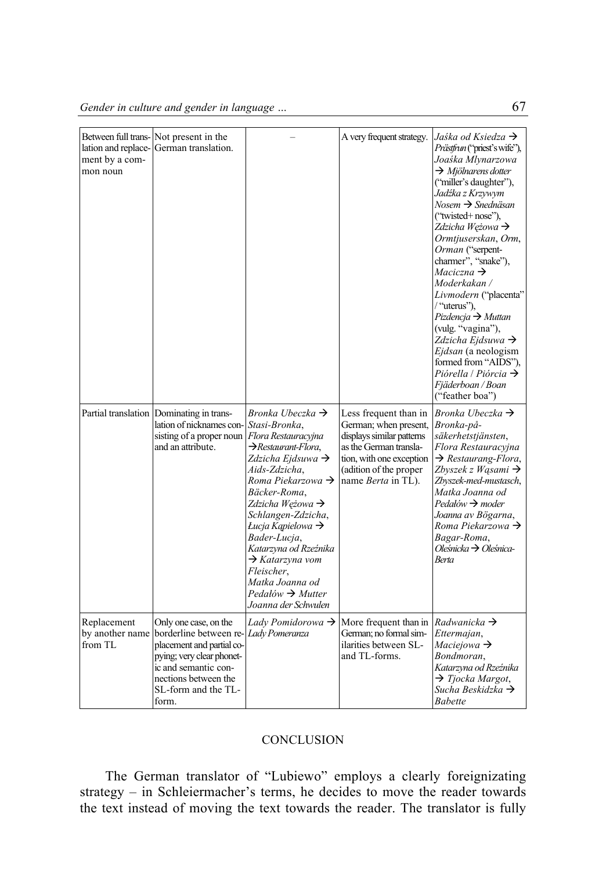|                                                   | Between full trans-Not present in the                                                                                                                                                                           |                                                                                                                                                                                                                                                                                                                                                                                                                           | A very frequent strategy.                                                                                                                                                                                  | Jaśka od Ksiedza $\rightarrow$                                                                                                                                                                                                                                                                                                                                                                                                                                                                                                                                                                           |
|---------------------------------------------------|-----------------------------------------------------------------------------------------------------------------------------------------------------------------------------------------------------------------|---------------------------------------------------------------------------------------------------------------------------------------------------------------------------------------------------------------------------------------------------------------------------------------------------------------------------------------------------------------------------------------------------------------------------|------------------------------------------------------------------------------------------------------------------------------------------------------------------------------------------------------------|----------------------------------------------------------------------------------------------------------------------------------------------------------------------------------------------------------------------------------------------------------------------------------------------------------------------------------------------------------------------------------------------------------------------------------------------------------------------------------------------------------------------------------------------------------------------------------------------------------|
| lation and replace-<br>ment by a com-<br>mon noun | German translation.                                                                                                                                                                                             |                                                                                                                                                                                                                                                                                                                                                                                                                           |                                                                                                                                                                                                            | Prästfrun ("priest's wife"),<br>Joaśka Mlynarzowa<br>$\rightarrow$ Mjölnarens dotter<br>("miller's daughter"),<br>Jadźka z Krzywym<br>$Nosem \rightarrow Snedn\ddot{a}san$<br>("twisted+ nose").<br>Zdzicha Weżowa $\rightarrow$<br>Ormtjuserskan, Orm,<br>Orman ("serpent-<br>charmer", "snake"),<br>$Maciczna \rightarrow$<br>Moderkakan /<br>Livmodern ("placenta"<br>/ "uterus"),<br>$Pizdencja \rightarrow Muttan$<br>(vulg. "vagina"),<br>Zdzicha Ejdsuwa $\rightarrow$<br>Ejdsan (a neologism<br>formed from "AIDS").<br>Piórella / Piórcia $\rightarrow$<br>Fjäderboan / Boan<br>("feather boa") |
|                                                   | Partial translation Dominating in trans-<br>lation of nicknames con-Stasi-Bronka,<br>sisting of a proper noun Flora Restauracyjna<br>and an attribute.                                                          | Bronka Ubeczka $\rightarrow$<br>$\rightarrow$ Restaurant-Flora,<br>Zdzicha Ejdsuwa $\rightarrow$<br>Aids-Zdzicha,<br>Roma Piekarzowa $\rightarrow$<br>Bäcker-Roma,<br>Zdzicha Wężowa $\rightarrow$<br>Schlangen-Zdzicha,<br>Łucja Kapielowa $\rightarrow$<br>Bader-Lucja,<br>Katarzyna od Rzeźnika<br>$\rightarrow$ Katarzyna vom<br>Fleischer,<br>Matka Joanna od<br>$Pedalów \rightarrow Mutter$<br>Joanna der Schwulen | Less frequent than in<br>German; when present, <i>Bronka-på-</i><br>displays similar patterns<br>as the German transla-<br>tion, with one exception<br>(adition of the proper<br>name <i>Berta</i> in TL). | Bronka Ubeczka $\rightarrow$<br>säkerhetstjänsten,<br>Flora Restauracyjna<br>$\rightarrow$ Restaurang-Flora,<br>Zbyszek z Wąsami $\rightarrow$<br>Zbyszek-med-mustasch,<br>Matka Joanna od<br>$Pedalów \rightarrow moder$<br>Joanna av Bögarna,<br>Roma Piekarzowa $\rightarrow$<br>Bagar-Roma,<br>Oleśnicka $\rightarrow$ Oleśnica-<br><b>Berta</b>                                                                                                                                                                                                                                                     |
| Replacement<br>by another name<br>from TL         | Only one case, on the<br>borderline between re- <i>Lady Pomeranza</i><br>placement and partial co-<br>pying; very clear phonet-<br>ic and semantic con-<br>nections between the<br>SL-form and the TL-<br>form. | Lady Pomidorowa $\rightarrow$                                                                                                                                                                                                                                                                                                                                                                                             | More frequent than in Radwanicka $\rightarrow$<br>German: no formal sim-<br>ilarities between SL-<br>and TL-forms.                                                                                         | Ettermajan,<br>Maciejowa $\rightarrow$<br>Bondmoran.<br>Katarzyna od Rzeźnika<br>$\rightarrow$ Tjocka Margot,<br>Sucha Beskidzka $\rightarrow$<br><b>Babette</b>                                                                                                                                                                                                                                                                                                                                                                                                                                         |

## **CONCLUSION**

The German translator of "Lubiewo" employs a clearly foreignizating strategy – in Schleiermacher's terms, he decides to move the reader towards the text instead of moving the text towards the reader. The translator is fully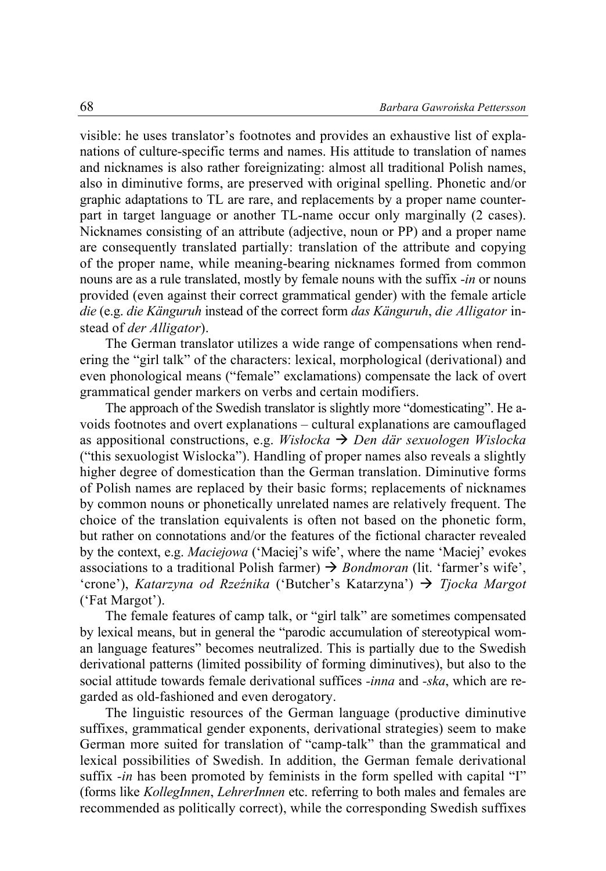visible: he uses translator's footnotes and provides an exhaustive list of explanations of culture-specific terms and names. His attitude to translation of names and nicknames is also rather foreignizating: almost all traditional Polish names, also in diminutive forms, are preserved with original spelling. Phonetic and/or graphic adaptations to TL are rare, and replacements by a proper name counterpart in target language or another TL-name occur only marginally (2 cases). Nicknames consisting of an attribute (adjective, noun or PP) and a proper name are consequently translated partially: translation of the attribute and copying of the proper name, while meaning-bearing nicknames formed from common nouns are as a rule translated, mostly by female nouns with the suffix *-in* or nouns provided (even against their correct grammatical gender) with the female article *die* (e.g. *die Känguruh* instead of the correct form *das Känguruh*, *die Alligator* instead of *der Alligator*).

The German translator utilizes a wide range of compensations when rendering the "girl talk" of the characters: lexical, morphological (derivational) and even phonological means ("female" exclamations) compensate the lack of overt grammatical gender markers on verbs and certain modifiers.

The approach of the Swedish translator is slightly more "domesticating". He avoids footnotes and overt explanations – cultural explanations are camouflaged as appositional constructions, e.g. *Wisłocka Den där sexuologen Wislocka* ("this sexuologist Wislocka"). Handling of proper names also reveals a slightly higher degree of domestication than the German translation. Diminutive forms of Polish names are replaced by their basic forms; replacements of nicknames by common nouns or phonetically unrelated names are relatively frequent. The choice of the translation equivalents is often not based on the phonetic form, but rather on connotations and/or the features of the fictional character revealed by the context, e.g. *Maciejowa* ('Maciej's wife', where the name 'Maciej' evokes associations to a traditional Polish farmer)  $\rightarrow$  *Bondmoran* (lit. 'farmer's wife', 'crone'), *Katarzyna od Rzeźnika* ('Butcher's Katarzyna') *Tjocka Margot* ('Fat Margot').

The female features of camp talk, or "girl talk" are sometimes compensated by lexical means, but in general the "parodic accumulation of stereotypical woman language features" becomes neutralized. This is partially due to the Swedish derivational patterns (limited possibility of forming diminutives), but also to the social attitude towards female derivational suffices *-inna* and *-ska*, which are regarded as old-fashioned and even derogatory.

The linguistic resources of the German language (productive diminutive suffixes, grammatical gender exponents, derivational strategies) seem to make German more suited for translation of "camp-talk" than the grammatical and lexical possibilities of Swedish. In addition, the German female derivational suffix *-in* has been promoted by feminists in the form spelled with capital "I" (forms like *KollegInnen*, *LehrerInnen* etc. referring to both males and females are recommended as politically correct), while the corresponding Swedish suffixes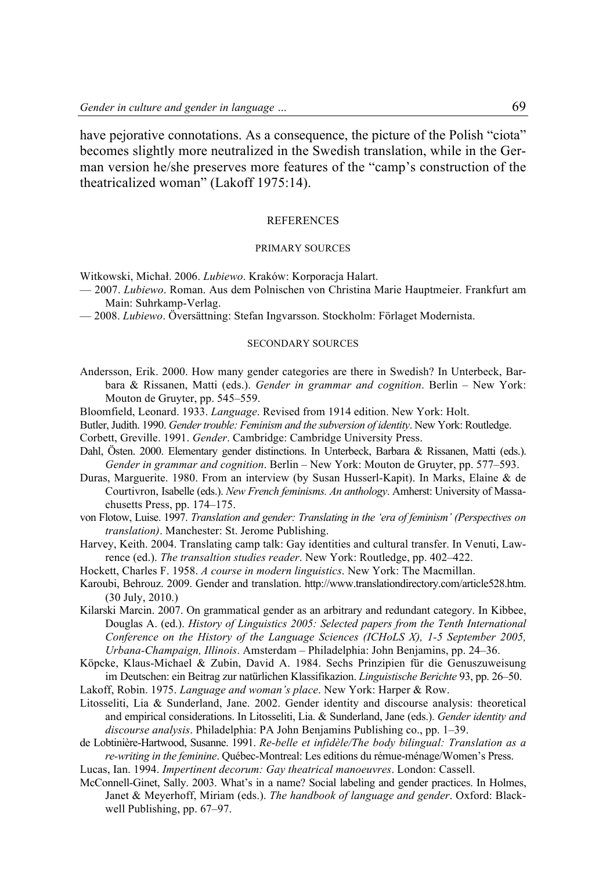have pejorative connotations. As a consequence, the picture of the Polish "ciota" becomes slightly more neutralized in the Swedish translation, while in the German version he/she preserves more features of the "camp's construction of the theatricalized woman" (Lakoff 1975:14).

#### REFERENCES

#### PRIMARY SOURCES

Witkowski, Michał. 2006. *Lubiewo*. Kraków: Korporacja Halart.

- 2007. *Lubiewo*. Roman. Aus dem Polnischen von Christina Marie Hauptmeier. Frankfurt am Main: Suhrkamp-Verlag.
- 2008. *Lubiewo*. Översättning: Stefan Ingvarsson. Stockholm: Förlaget Modernista.

#### SECONDARY SOURCES

- Andersson, Erik. 2000. How many gender categories are there in Swedish? In Unterbeck, Barbara & Rissanen, Matti (eds.). *Gender in grammar and cognition*. Berlin – New York: Mouton de Gruyter, pp. 545–559.
- Bloomfield, Leonard. 1933. *Language*. Revised from 1914 edition. New York: Holt.
- Butler,Judith. 1990. *Gendertrouble: Feminism and the subversion of identity*. New York: Routledge.
- Corbett, Greville. 1991. *Gender*. Cambridge: Cambridge University Press.
- Dahl, Östen. 2000. Elementary gender distinctions. In Unterbeck, Barbara & Rissanen, Matti (eds.). *Gender in grammar and cognition*. Berlin – New York: Mouton de Gruyter, pp. 577–593.
- Duras, Marguerite. 1980. From an interview (by Susan Husserl-Kapit). In Marks, Elaine & de Courtivron, Isabelle (eds.). *New French feminisms. An anthology*. Amherst: University of Massachusetts Press, pp. 174–175.
- von Flotow, Luise. 1997. *Translation and gender: Translating in the 'era of feminism' (Perspectives on translation)*. Manchester: St. Jerome Publishing.
- Harvey, Keith. 2004. Translating camp talk: Gay identities and cultural transfer. In Venuti, Lawrence (ed.). *The transaltion studies reader*. New York: Routledge, pp. 402–422.
- Hockett, Charles F. 1958. *A course in modern linguistics*. New York: The Macmillan.
- Karoubi, Behrouz. 2009. Gender and translation. http://www.translationdirectory.com/article528.htm. (30 July, 2010.)
- Kilarski Marcin. 2007. On grammatical gender as an arbitrary and redundant category. In Kibbee, Douglas A. (ed.). *History of Linguistics 2005: Selected papers from the Tenth International Conference on the History of the Language Sciences (ICHoLS X), 1-5 September 2005, Urbana-Champaign, Illinois*. Amsterdam – Philadelphia: John Benjamins, pp. 24–36.
- Köpcke, Klaus-Michael & Zubin, David A. 1984. Sechs Prinzipien für die Genuszuweisung im Deutschen: ein Beitrag zur natürlichen Klassifikazion. *Linguistische Berichte* 93, pp. 26–50.
- Lakoff, Robin. 1975. *Language and woman's place*. New York: Harper & Row.
- Litosseliti, Lia & Sunderland, Jane. 2002. Gender identity and discourse analysis: theoretical and empirical considerations. In Litosseliti, Lia. & Sunderland, Jane (eds.). *Gender identity and discourse analysis*. Philadelphia: PA John Benjamins Publishing co., pp. 1–39.
- de Lobtinière-Hartwood, Susanne. 1991. *Re-belle et infidèle/The body bilingual: Translation as a re-writing in the feminine*. Québec-Montreal: Les editions du rémue-ménage/Women's Press.
- Lucas, Ian. 1994. *Impertinent decorum: Gay theatrical manoeuvres*. London: Cassell.
- McConnell-Ginet, Sally. 2003. What's in a name? Social labeling and gender practices. In Holmes, Janet & Meyerhoff, Miriam (eds.). *The handbook of language and gender*. Oxford: Blackwell Publishing, pp. 67–97.